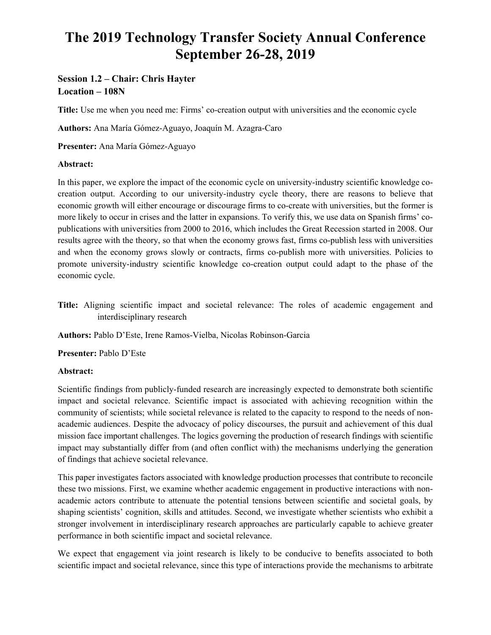# **The 2019 Technology Transfer Society Annual Conference September 26-28, 2019**

# **Session 1.2 – Chair: Chris Hayter Location – 108N**

**Title:** Use me when you need me: Firms' co-creation output with universities and the economic cycle

**Authors:** Ana María Gómez-Aguayo, Joaquín M. Azagra-Caro

**Presenter:** Ana María Gómez-Aguayo

### **Abstract:**

In this paper, we explore the impact of the economic cycle on university-industry scientific knowledge cocreation output. According to our university-industry cycle theory, there are reasons to believe that economic growth will either encourage or discourage firms to co-create with universities, but the former is more likely to occur in crises and the latter in expansions. To verify this, we use data on Spanish firms' copublications with universities from 2000 to 2016, which includes the Great Recession started in 2008. Our results agree with the theory, so that when the economy grows fast, firms co-publish less with universities and when the economy grows slowly or contracts, firms co-publish more with universities. Policies to promote university-industry scientific knowledge co-creation output could adapt to the phase of the economic cycle.

**Title:** Aligning scientific impact and societal relevance: The roles of academic engagement and interdisciplinary research

**Authors:** Pablo D'Este, Irene Ramos-Vielba, Nicolas Robinson-Garcia

**Presenter:** Pablo D'Este

#### **Abstract:**

Scientific findings from publicly-funded research are increasingly expected to demonstrate both scientific impact and societal relevance. Scientific impact is associated with achieving recognition within the community of scientists; while societal relevance is related to the capacity to respond to the needs of nonacademic audiences. Despite the advocacy of policy discourses, the pursuit and achievement of this dual mission face important challenges. The logics governing the production of research findings with scientific impact may substantially differ from (and often conflict with) the mechanisms underlying the generation of findings that achieve societal relevance.

This paper investigates factors associated with knowledge production processes that contribute to reconcile these two missions. First, we examine whether academic engagement in productive interactions with nonacademic actors contribute to attenuate the potential tensions between scientific and societal goals, by shaping scientists' cognition, skills and attitudes. Second, we investigate whether scientists who exhibit a stronger involvement in interdisciplinary research approaches are particularly capable to achieve greater performance in both scientific impact and societal relevance.

We expect that engagement via joint research is likely to be conducive to benefits associated to both scientific impact and societal relevance, since this type of interactions provide the mechanisms to arbitrate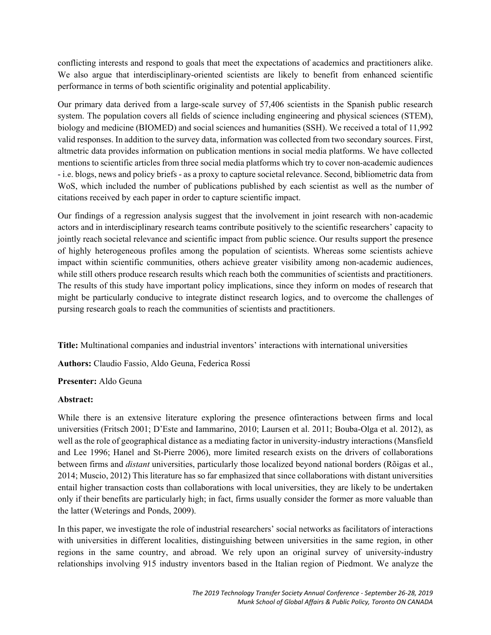conflicting interests and respond to goals that meet the expectations of academics and practitioners alike. We also argue that interdisciplinary-oriented scientists are likely to benefit from enhanced scientific performance in terms of both scientific originality and potential applicability.

Our primary data derived from a large-scale survey of 57,406 scientists in the Spanish public research system. The population covers all fields of science including engineering and physical sciences (STEM), biology and medicine (BIOMED) and social sciences and humanities (SSH). We received a total of 11,992 valid responses. In addition to the survey data, information was collected from two secondary sources. First, altmetric data provides information on publication mentions in social media platforms. We have collected mentions to scientific articles from three social media platforms which try to cover non-academic audiences - i.e. blogs, news and policy briefs - as a proxy to capture societal relevance. Second, bibliometric data from WoS, which included the number of publications published by each scientist as well as the number of citations received by each paper in order to capture scientific impact.

Our findings of a regression analysis suggest that the involvement in joint research with non-academic actors and in interdisciplinary research teams contribute positively to the scientific researchers' capacity to jointly reach societal relevance and scientific impact from public science. Our results support the presence of highly heterogeneous profiles among the population of scientists. Whereas some scientists achieve impact within scientific communities, others achieve greater visibility among non-academic audiences, while still others produce research results which reach both the communities of scientists and practitioners. The results of this study have important policy implications, since they inform on modes of research that might be particularly conducive to integrate distinct research logics, and to overcome the challenges of pursing research goals to reach the communities of scientists and practitioners.

**Title:** Multinational companies and industrial inventors' interactions with international universities

**Authors:** Claudio Fassio, Aldo Geuna, Federica Rossi

#### **Presenter:** Aldo Geuna

#### **Abstract:**

While there is an extensive literature exploring the presence ofinteractions between firms and local universities (Fritsch 2001; D'Este and Iammarino, 2010; Laursen et al. 2011; Bouba-Olga et al. 2012), as well as the role of geographical distance as a mediating factor in university-industry interactions (Mansfield and Lee 1996; Hanel and St-Pierre 2006), more limited research exists on the drivers of collaborations between firms and *distant* universities, particularly those localized beyond national borders (Rõigas et al., 2014; Muscio, 2012) This literature has so far emphasized that since collaborations with distant universities entail higher transaction costs than collaborations with local universities, they are likely to be undertaken only if their benefits are particularly high; in fact, firms usually consider the former as more valuable than the latter (Weterings and Ponds, 2009).

In this paper, we investigate the role of industrial researchers' social networks as facilitators of interactions with universities in different localities, distinguishing between universities in the same region, in other regions in the same country, and abroad. We rely upon an original survey of university-industry relationships involving 915 industry inventors based in the Italian region of Piedmont. We analyze the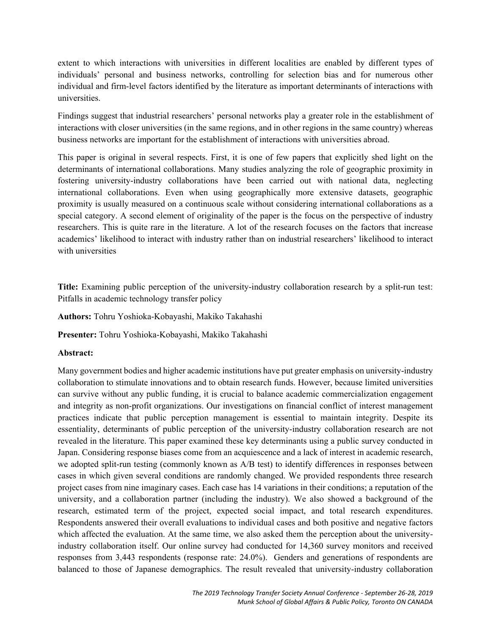extent to which interactions with universities in different localities are enabled by different types of individuals' personal and business networks, controlling for selection bias and for numerous other individual and firm-level factors identified by the literature as important determinants of interactions with universities.

Findings suggest that industrial researchers' personal networks play a greater role in the establishment of interactions with closer universities (in the same regions, and in other regions in the same country) whereas business networks are important for the establishment of interactions with universities abroad.

This paper is original in several respects. First, it is one of few papers that explicitly shed light on the determinants of international collaborations. Many studies analyzing the role of geographic proximity in fostering university-industry collaborations have been carried out with national data, neglecting international collaborations. Even when using geographically more extensive datasets, geographic proximity is usually measured on a continuous scale without considering international collaborations as a special category. A second element of originality of the paper is the focus on the perspective of industry researchers. This is quite rare in the literature. A lot of the research focuses on the factors that increase academics' likelihood to interact with industry rather than on industrial researchers' likelihood to interact with universities

**Title:** Examining public perception of the university-industry collaboration research by a split-run test: Pitfalls in academic technology transfer policy

**Authors:** Tohru Yoshioka-Kobayashi, Makiko Takahashi

**Presenter:** Tohru Yoshioka-Kobayashi, Makiko Takahashi

## **Abstract:**

Many government bodies and higher academic institutions have put greater emphasis on university-industry collaboration to stimulate innovations and to obtain research funds. However, because limited universities can survive without any public funding, it is crucial to balance academic commercialization engagement and integrity as non-profit organizations. Our investigations on financial conflict of interest management practices indicate that public perception management is essential to maintain integrity. Despite its essentiality, determinants of public perception of the university-industry collaboration research are not revealed in the literature. This paper examined these key determinants using a public survey conducted in Japan. Considering response biases come from an acquiescence and a lack of interest in academic research, we adopted split-run testing (commonly known as A/B test) to identify differences in responses between cases in which given several conditions are randomly changed. We provided respondents three research project cases from nine imaginary cases. Each case has 14 variations in their conditions; a reputation of the university, and a collaboration partner (including the industry). We also showed a background of the research, estimated term of the project, expected social impact, and total research expenditures. Respondents answered their overall evaluations to individual cases and both positive and negative factors which affected the evaluation. At the same time, we also asked them the perception about the universityindustry collaboration itself. Our online survey had conducted for 14,360 survey monitors and received responses from 3,443 respondents (response rate: 24.0%). Genders and generations of respondents are balanced to those of Japanese demographics. The result revealed that university-industry collaboration